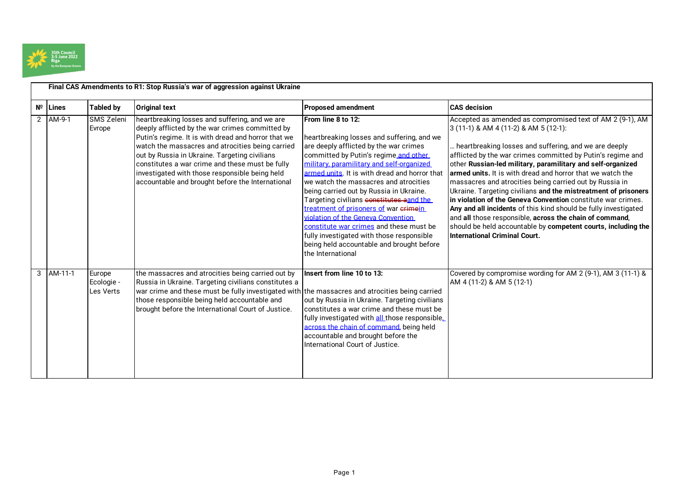

|   | Final CAS Amendments to R1: Stop Russia's war of aggression against Ukraine |                                          |                                                                                                                                                                                                                                                                                                                                                                                                                        |                                                                                                                                                                                                                                                                                                                                                                                                                                                                                                                                                                                                                            |                                                                                                                                                                                                                                                                                                                                                                                                                                                                                                                                                                                                                                                                                                                                                                                              |  |
|---|-----------------------------------------------------------------------------|------------------------------------------|------------------------------------------------------------------------------------------------------------------------------------------------------------------------------------------------------------------------------------------------------------------------------------------------------------------------------------------------------------------------------------------------------------------------|----------------------------------------------------------------------------------------------------------------------------------------------------------------------------------------------------------------------------------------------------------------------------------------------------------------------------------------------------------------------------------------------------------------------------------------------------------------------------------------------------------------------------------------------------------------------------------------------------------------------------|----------------------------------------------------------------------------------------------------------------------------------------------------------------------------------------------------------------------------------------------------------------------------------------------------------------------------------------------------------------------------------------------------------------------------------------------------------------------------------------------------------------------------------------------------------------------------------------------------------------------------------------------------------------------------------------------------------------------------------------------------------------------------------------------|--|
|   | $N^{\circ}$ Lines                                                           | <b>Tabled by</b>                         | <b>Original text</b>                                                                                                                                                                                                                                                                                                                                                                                                   | <b>Proposed amendment</b>                                                                                                                                                                                                                                                                                                                                                                                                                                                                                                                                                                                                  | <b>CAS</b> decision                                                                                                                                                                                                                                                                                                                                                                                                                                                                                                                                                                                                                                                                                                                                                                          |  |
|   | 2 AM-9-1                                                                    | <b>SMS Zeleni</b><br>Evrope              | heartbreaking losses and suffering, and we are<br>deeply afflicted by the war crimes committed by<br>Putin's regime. It is with dread and horror that we<br>watch the massacres and atrocities being carried<br>out by Russia in Ukraine. Targeting civilians<br>constitutes a war crime and these must be fully<br>investigated with those responsible being held<br>accountable and brought before the International | From line 8 to 12:<br>heartbreaking losses and suffering, and we<br>are deeply afflicted by the war crimes<br>committed by Putin's regime and other<br>military, paramilitary and self-organized<br>armed units. It is with dread and horror that<br>we watch the massacres and atrocities<br>being carried out by Russia in Ukraine.<br>Targeting civilians constitutes aand the<br>treatment of prisoners of war erimein<br>violation of the Geneva Convention<br>constitute war crimes and these must be<br>fully investigated with those responsible<br>being held accountable and brought before<br>the International | Accepted as amended as compromised text of AM 2 (9-1), AM<br>$3(11-1)$ & AM 4 (11-2) & AM 5 (12-1):<br>heartbreaking losses and suffering, and we are deeply<br>afflicted by the war crimes committed by Putin's regime and<br>other Russian-led military, paramilitary and self-organized<br>armed units. It is with dread and horror that we watch the<br>massacres and atrocities being carried out by Russia in<br>Ukraine. Targeting civilians and the mistreatment of prisoners<br>in violation of the Geneva Convention constitute war crimes.<br>Any and all incidents of this kind should be fully investigated<br>and all those responsible, across the chain of command,<br>should be held accountable by competent courts, including the<br><b>International Criminal Court.</b> |  |
| 3 | AM-11-1                                                                     | Europe<br>Ecologie -<br><b>Les Verts</b> | the massacres and atrocities being carried out by<br>Russia in Ukraine. Targeting civilians constitutes a<br>war crime and these must be fully investigated with the massacres and atrocities being carried<br>those responsible being held accountable and<br>brought before the International Court of Justice.                                                                                                      | Insert from line 10 to 13:<br>out by Russia in Ukraine. Targeting civilians<br>constitutes a war crime and these must be<br>fully investigated with all those responsible.<br>across the chain of command, being held<br>accountable and brought before the<br>International Court of Justice.                                                                                                                                                                                                                                                                                                                             | Covered by compromise wording for AM 2 (9-1), AM 3 (11-1) &<br>AM 4 (11-2) & AM 5 (12-1)                                                                                                                                                                                                                                                                                                                                                                                                                                                                                                                                                                                                                                                                                                     |  |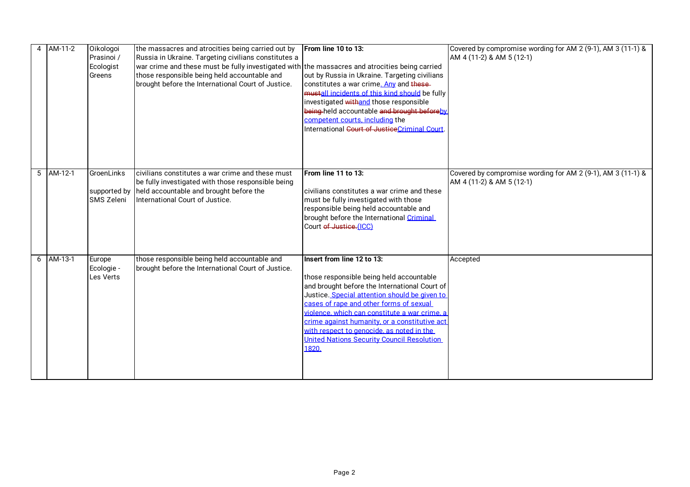| AM-11-2     | Oikologoi<br>Prasinoi /<br>Ecologist<br>Greens | the massacres and atrocities being carried out by<br>Russia in Ukraine. Targeting civilians constitutes a<br>war crime and these must be fully investigated with the massacres and atrocities being carried<br>those responsible being held accountable and<br>brought before the International Court of Justice. | From line 10 to 13:<br>out by Russia in Ukraine. Targeting civilians<br>constitutes a war crime. Any and these-<br>mustall incidents of this kind should be fully<br>investigated withand those responsible<br>being-held accountable and brought beforeby                                                                                                                                                                | Covered by compromise wording for AM 2 (9-1), AM 3 (11-1) &<br>AM 4 (11-2) & AM 5 (12-1) |
|-------------|------------------------------------------------|-------------------------------------------------------------------------------------------------------------------------------------------------------------------------------------------------------------------------------------------------------------------------------------------------------------------|---------------------------------------------------------------------------------------------------------------------------------------------------------------------------------------------------------------------------------------------------------------------------------------------------------------------------------------------------------------------------------------------------------------------------|------------------------------------------------------------------------------------------|
|             |                                                |                                                                                                                                                                                                                                                                                                                   | competent courts, including the<br>International Court of JusticeCriminal Court                                                                                                                                                                                                                                                                                                                                           |                                                                                          |
| $5$ AM-12-1 | GroenLinks<br><b>SMS Zeleni</b>                | civilians constitutes a war crime and these must<br>be fully investigated with those responsible being<br>supported by held accountable and brought before the<br>International Court of Justice.                                                                                                                 | From line 11 to 13:<br>civilians constitutes a war crime and these<br>must be fully investigated with those<br>responsible being held accountable and<br>brought before the International Criminal<br>Court of Justice.(ICC)                                                                                                                                                                                              | Covered by compromise wording for AM 2 (9-1), AM 3 (11-1) &<br>AM 4 (11-2) & AM 5 (12-1) |
| $6$ AM-13-1 | Europe<br>Ecologie -<br>Les Verts              | those responsible being held accountable and<br>brought before the International Court of Justice.                                                                                                                                                                                                                | Insert from line 12 to 13:<br>those responsible being held accountable<br>and brought before the International Court of<br>Justice. Special attention should be given to<br>cases of rape and other forms of sexual<br>violence, which can constitute a war crime, a<br>crime against humanity, or a constitutive act<br>with respect to genocide, as noted in the<br>United Nations Security Council Resolution<br>1820. | Accepted                                                                                 |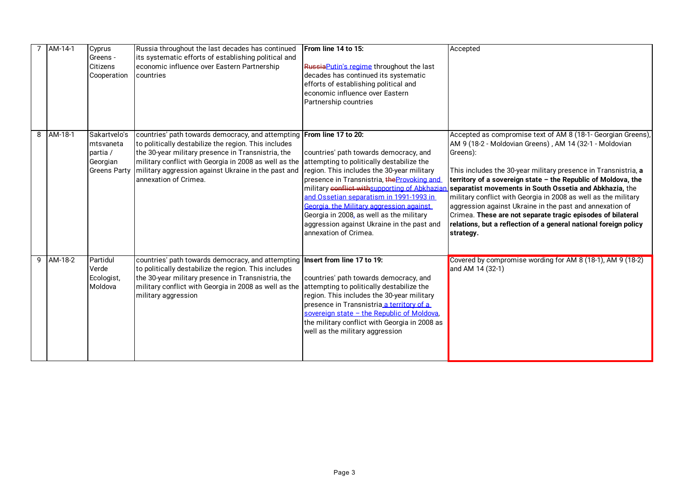| AM-14-1       | Cyprus<br>Greens -<br>Citizens<br>Cooperation                            | Russia throughout the last decades has continued<br>its systematic efforts of establishing political and<br>economic influence over Eastern Partnership<br>countries                                                                                                                                                         | From line 14 to 15:<br>Russia Putin's regime throughout the last<br>decades has continued its systematic<br>efforts of establishing political and<br>economic influence over Eastern<br>Partnership countries                                                                                                                                                                                                                               | Accepted                                                                                                                                                                                                                                                                                                                                                                                                                                                                                                                                                                                                        |
|---------------|--------------------------------------------------------------------------|------------------------------------------------------------------------------------------------------------------------------------------------------------------------------------------------------------------------------------------------------------------------------------------------------------------------------|---------------------------------------------------------------------------------------------------------------------------------------------------------------------------------------------------------------------------------------------------------------------------------------------------------------------------------------------------------------------------------------------------------------------------------------------|-----------------------------------------------------------------------------------------------------------------------------------------------------------------------------------------------------------------------------------------------------------------------------------------------------------------------------------------------------------------------------------------------------------------------------------------------------------------------------------------------------------------------------------------------------------------------------------------------------------------|
| 8 AM-18-1     | Sakartvelo's<br>mtsvaneta<br>partia /<br>Georgian<br><b>Greens Party</b> | countries' path towards democracy, and attempting From line 17 to 20:<br>to politically destabilize the region. This includes<br>the 30-year military presence in Transnistria, the<br>military conflict with Georgia in 2008 as well as the<br>military aggression against Ukraine in the past and<br>annexation of Crimea. | countries' path towards democracy, and<br>attempting to politically destabilize the<br>region. This includes the 30-year military<br>presence in Transnistria, the Provoking and<br>military conflict withsupporting of Abkhaziar<br>and Ossetian separatism in 1991-1993 in<br>Georgia, the Military aggression against<br>Georgia in 2008, as well as the military<br>aggression against Ukraine in the past and<br>annexation of Crimea. | Accepted as compromise text of AM 8 (18-1- Georgian Greens),<br>AM 9 (18-2 - Moldovian Greens), AM 14 (32-1 - Moldovian<br>Greens):<br>This includes the 30-year military presence in Transnistria, a<br>territory of a sovereign state - the Republic of Moldova, the<br>separatist movements in South Ossetia and Abkhazia, the<br>military conflict with Georgia in 2008 as well as the military<br>aggression against Ukraine in the past and annexation of<br>Crimea. These are not separate tragic episodes of bilateral<br>relations, but a reflection of a general national foreign policy<br>strategy. |
| $9$ $AM-18-2$ | Partidul<br>Verde<br>Ecologist,<br>Moldova                               | countries' path towards democracy, and attempting Insert from line 17 to 19:<br>to politically destabilize the region. This includes<br>the 30-year military presence in Transnistria, the<br>military conflict with Georgia in 2008 as well as the<br>military aggression                                                   | countries' path towards democracy, and<br>attempting to politically destabilize the<br>region. This includes the 30-year military<br>presence in Transnistria a territory of a<br>sovereign state - the Republic of Moldova,<br>the military conflict with Georgia in 2008 as<br>well as the military aggression                                                                                                                            | Covered by compromise wording for AM 8 (18-1), AM 9 (18-2)<br>and AM 14 (32-1)                                                                                                                                                                                                                                                                                                                                                                                                                                                                                                                                  |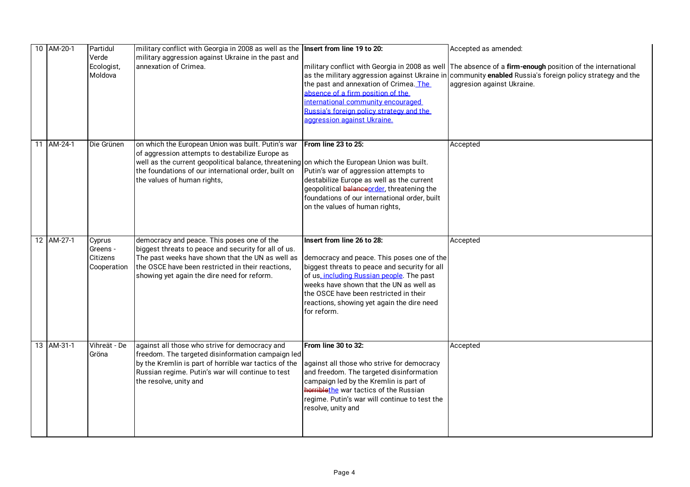|  | 10 AM-20-1 | Partidul<br>Verde                             | military conflict with Georgia in 2008 as well as the Insert from line 19 to 20:<br>military aggression against Ukraine in the past and                                                                                                                                                      |                                                                                                                                                                                                                                                                                                                          | Accepted as amended:                                                                                                                                                                                                                                |
|--|------------|-----------------------------------------------|----------------------------------------------------------------------------------------------------------------------------------------------------------------------------------------------------------------------------------------------------------------------------------------------|--------------------------------------------------------------------------------------------------------------------------------------------------------------------------------------------------------------------------------------------------------------------------------------------------------------------------|-----------------------------------------------------------------------------------------------------------------------------------------------------------------------------------------------------------------------------------------------------|
|  |            | Ecologist,<br>Moldova                         | annexation of Crimea.                                                                                                                                                                                                                                                                        | the past and annexation of Crimea. The<br>absence of a firm position of the<br>international community encouraged<br>Russia's foreign policy strategy and the<br>aggression against Ukraine.                                                                                                                             | military conflict with Georgia in 2008 as well The absence of a firm-enough position of the international<br>as the military aggression against Ukraine in community enabled Russia's foreign policy strategy and the<br>aggresion against Ukraine. |
|  | 11 AM-24-1 | Die Grünen                                    | on which the European Union was built. Putin's war<br>of aggression attempts to destabilize Europe as<br>well as the current geopolitical balance, threatening on which the European Union was built.<br>the foundations of our international order, built on<br>the values of human rights, | From line 23 to 25:<br>Putin's war of aggression attempts to<br>destabilize Europe as well as the current<br>geopolitical balance order, threatening the<br>foundations of our international order, built<br>on the values of human rights,                                                                              | Accepted                                                                                                                                                                                                                                            |
|  | 12 AM-27-1 | Cyprus<br>Greens -<br>Citizens<br>Cooperation | democracy and peace. This poses one of the<br>biggest threats to peace and security for all of us.<br>The past weeks have shown that the UN as well as<br>the OSCE have been restricted in their reactions,<br>showing yet again the dire need for reform.                                   | Insert from line 26 to 28:<br>democracy and peace. This poses one of the<br>biggest threats to peace and security for all<br>of us, including Russian people. The past<br>weeks have shown that the UN as well as<br>the OSCE have been restricted in their<br>reactions, showing yet again the dire need<br>for reform. | Accepted                                                                                                                                                                                                                                            |
|  | 13 AM-31-1 | Vihreät - De<br>Gröna                         | against all those who strive for democracy and<br>freedom. The targeted disinformation campaign led<br>by the Kremlin is part of horrible war tactics of the<br>Russian regime. Putin's war will continue to test<br>the resolve, unity and                                                  | From line 30 to 32:<br>against all those who strive for democracy<br>and freedom. The targeted disinformation<br>campaign led by the Kremlin is part of<br>horriblethe war tactics of the Russian<br>regime. Putin's war will continue to test the<br>resolve, unity and                                                 | Accepted                                                                                                                                                                                                                                            |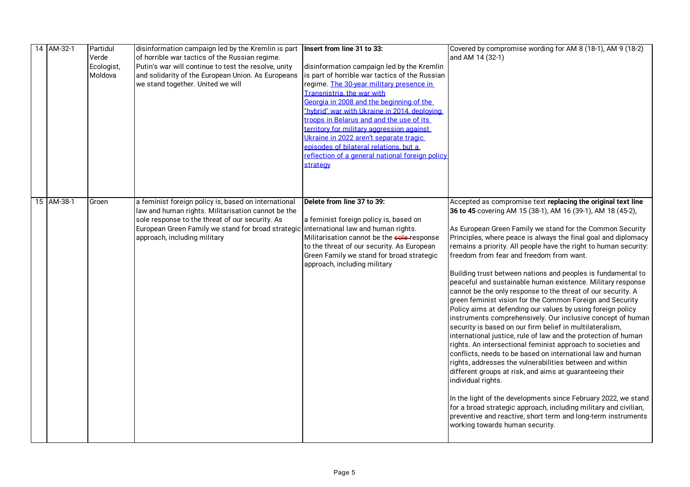|  | 14 AM-32-1 | Partidul<br>Verde<br>Ecologist,<br>Moldova | disinformation campaign led by the Kremlin is part  Insert from line 31 to 33:<br>of horrible war tactics of the Russian regime.<br>Putin's war will continue to test the resolve, unity<br>and solidarity of the European Union. As Europeans<br>we stand together. United we will     | disinformation campaign led by the Kremlin<br>is part of horrible war tactics of the Russian<br>regime. The 30-year military presence in<br>Transnistria, the war with<br>Georgia in 2008 and the beginning of the<br>"hybrid" war with Ukraine in 2014, deploving<br>troops in Belarus and and the use of its | Covered by compromise wording for AM 8 (18-1), AM 9 (18-2)<br>and AM 14 (32-1)                                                                                                                                                                                                                                                                                                                                                                                                                                                                                                                                                                                                                                                                                                                                                                                                                                                                                                                                                                                                                                                                                                                                                                                                                                                                                                                                            |
|--|------------|--------------------------------------------|-----------------------------------------------------------------------------------------------------------------------------------------------------------------------------------------------------------------------------------------------------------------------------------------|----------------------------------------------------------------------------------------------------------------------------------------------------------------------------------------------------------------------------------------------------------------------------------------------------------------|---------------------------------------------------------------------------------------------------------------------------------------------------------------------------------------------------------------------------------------------------------------------------------------------------------------------------------------------------------------------------------------------------------------------------------------------------------------------------------------------------------------------------------------------------------------------------------------------------------------------------------------------------------------------------------------------------------------------------------------------------------------------------------------------------------------------------------------------------------------------------------------------------------------------------------------------------------------------------------------------------------------------------------------------------------------------------------------------------------------------------------------------------------------------------------------------------------------------------------------------------------------------------------------------------------------------------------------------------------------------------------------------------------------------------|
|  |            |                                            |                                                                                                                                                                                                                                                                                         | territory for military aggression against<br>Ukraine in 2022 aren't separate tragic<br>episodes of bilateral relations, but a<br>reflection of a general national foreign policy<br>strategy                                                                                                                   |                                                                                                                                                                                                                                                                                                                                                                                                                                                                                                                                                                                                                                                                                                                                                                                                                                                                                                                                                                                                                                                                                                                                                                                                                                                                                                                                                                                                                           |
|  | 15 AM-38-1 | Groen                                      | a feminist foreign policy is, based on international<br>law and human rights. Militarisation cannot be the<br>sole response to the threat of our security. As<br>European Green Family we stand for broad strategic international law and human rights.<br>approach, including military | Delete from line 37 to 39:<br>a feminist foreign policy is, based on<br>Militarisation cannot be the sole-response<br>to the threat of our security. As European<br>Green Family we stand for broad strategic<br>approach, including military                                                                  | Accepted as compromise text replacing the original text line<br>36 to 45 covering AM 15 (38-1), AM 16 (39-1), AM 18 (45-2),<br>As European Green Family we stand for the Common Security<br>Principles, where peace is always the final goal and diplomacy<br>remains a priority. All people have the right to human security:<br>freedom from fear and freedom from want.<br>Building trust between nations and peoples is fundamental to<br>peaceful and sustainable human existence. Military response<br>cannot be the only response to the threat of our security. A<br>green feminist vision for the Common Foreign and Security<br>Policy aims at defending our values by using foreign policy<br>instruments comprehensively. Our inclusive concept of human<br>security is based on our firm belief in multilateralism,<br>international justice, rule of law and the protection of human<br>rights. An intersectional feminist approach to societies and<br>conflicts, needs to be based on international law and human<br>rights, addresses the vulnerabilities between and within<br>different groups at risk, and aims at guaranteeing their<br>individual rights.<br>In the light of the developments since February 2022, we stand<br>for a broad strategic approach, including military and civilian,<br>preventive and reactive, short term and long-term instruments<br>working towards human security. |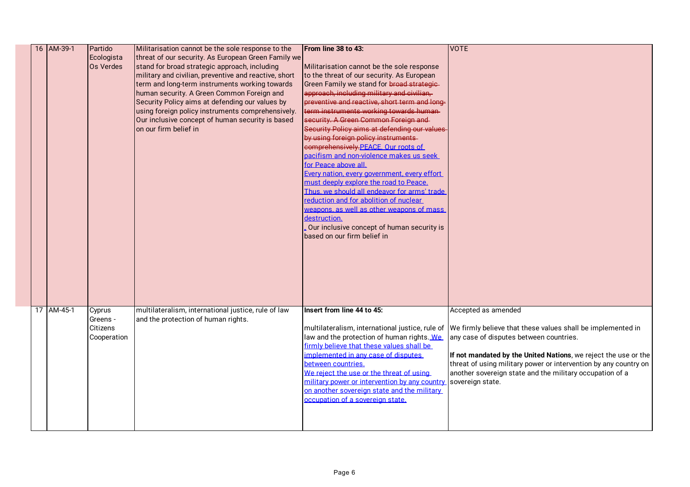|  | 16 AM-39-1 | Partido     | Militarisation cannot be the sole response to the     | From line 38 to 43:                             | <b>VOTE</b>                                                      |
|--|------------|-------------|-------------------------------------------------------|-------------------------------------------------|------------------------------------------------------------------|
|  |            | Ecologista  | threat of our security. As European Green Family we   |                                                 |                                                                  |
|  |            | Os Verdes   | stand for broad strategic approach, including         | Militarisation cannot be the sole response      |                                                                  |
|  |            |             | military and civilian, preventive and reactive, short | to the threat of our security. As European      |                                                                  |
|  |            |             | term and long-term instruments working towards        | Green Family we stand for broad strategie-      |                                                                  |
|  |            |             | human security. A Green Common Foreign and            | approach, including military and civilian,      |                                                                  |
|  |            |             | Security Policy aims at defending our values by       | preventive and reactive, short term and long-   |                                                                  |
|  |            |             | using foreign policy instruments comprehensively.     | term instruments working towards human-         |                                                                  |
|  |            |             | Our inclusive concept of human security is based      | security. A Green Common Foreign and            |                                                                  |
|  |            |             | on our firm belief in                                 | Security Policy aims at defending our values    |                                                                  |
|  |            |             |                                                       | by using foreign policy instruments-            |                                                                  |
|  |            |             |                                                       | comprehensively.PEACE. Our roots of             |                                                                  |
|  |            |             |                                                       | pacifism and non-violence makes us seek         |                                                                  |
|  |            |             |                                                       | for Peace above all.                            |                                                                  |
|  |            |             |                                                       | Every nation, every government, every effort    |                                                                  |
|  |            |             |                                                       | must deeply explore the road to Peace.          |                                                                  |
|  |            |             |                                                       | Thus, we should all endeavor for arms' trade    |                                                                  |
|  |            |             |                                                       | reduction and for abolition of nuclear          |                                                                  |
|  |            |             |                                                       | weapons, as well as other weapons of mass       |                                                                  |
|  |            |             |                                                       | destruction.                                    |                                                                  |
|  |            |             |                                                       | Our inclusive concept of human security is      |                                                                  |
|  |            |             |                                                       | based on our firm belief in                     |                                                                  |
|  |            |             |                                                       |                                                 |                                                                  |
|  |            |             |                                                       |                                                 |                                                                  |
|  |            |             |                                                       |                                                 |                                                                  |
|  |            |             |                                                       |                                                 |                                                                  |
|  |            |             |                                                       |                                                 |                                                                  |
|  |            |             |                                                       |                                                 |                                                                  |
|  |            |             |                                                       |                                                 |                                                                  |
|  | 17 AM-45-1 | Cyprus      | multilateralism, international justice, rule of law   | Insert from line 44 to 45:                      | Accepted as amended                                              |
|  |            | Greens -    | and the protection of human rights.                   |                                                 |                                                                  |
|  |            | Citizens    |                                                       | multilateralism, international justice, rule of | We firmly believe that these values shall be implemented in      |
|  |            | Cooperation |                                                       | law and the protection of human rights. We      | any case of disputes between countries.                          |
|  |            |             |                                                       | firmly believe that these values shall be       |                                                                  |
|  |            |             |                                                       | implemented in any case of disputes             | If not mandated by the United Nations, we reject the use or the  |
|  |            |             |                                                       | between countries.                              | threat of using military power or intervention by any country on |
|  |            |             |                                                       | We reject the use or the threat of using        | another sovereign state and the military occupation of a         |
|  |            |             |                                                       | military power or intervention by any country   | sovereign state.                                                 |
|  |            |             |                                                       | on another sovereign state and the military     |                                                                  |
|  |            |             |                                                       | occupation of a sovereign state.                |                                                                  |
|  |            |             |                                                       |                                                 |                                                                  |
|  |            |             |                                                       |                                                 |                                                                  |
|  |            |             |                                                       |                                                 |                                                                  |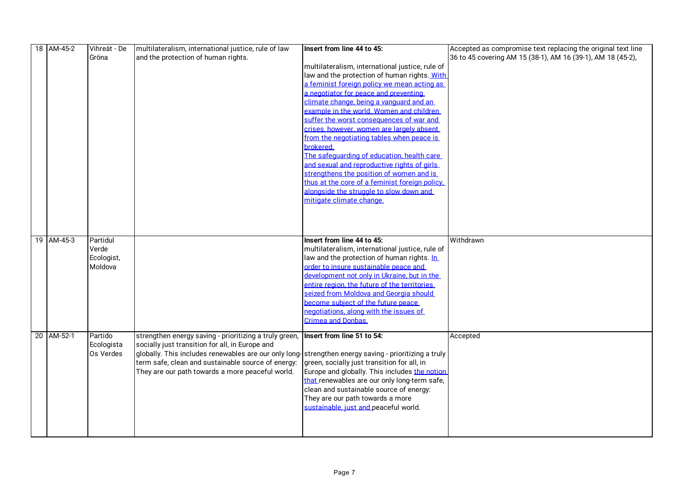|  | 18 AM-45-2 | Vihreät - De | multilateralism, international justice, rule of law                                                  | Insert from line 44 to 45:                      | Accepted as compromise text replacing the original text line |
|--|------------|--------------|------------------------------------------------------------------------------------------------------|-------------------------------------------------|--------------------------------------------------------------|
|  |            | Gröna        | and the protection of human rights.                                                                  |                                                 | 36 to 45 covering AM 15 (38-1), AM 16 (39-1), AM 18 (45-2),  |
|  |            |              |                                                                                                      | multilateralism, international justice, rule of |                                                              |
|  |            |              |                                                                                                      | law and the protection of human rights. With    |                                                              |
|  |            |              |                                                                                                      | a feminist foreign policy we mean acting as     |                                                              |
|  |            |              |                                                                                                      | a negotiator for peace and preventing           |                                                              |
|  |            |              |                                                                                                      | climate change, being a vanguard and an         |                                                              |
|  |            |              |                                                                                                      | example in the world. Women and children        |                                                              |
|  |            |              |                                                                                                      | suffer the worst consequences of war and        |                                                              |
|  |            |              |                                                                                                      | crises, however, women are largely absent       |                                                              |
|  |            |              |                                                                                                      | from the negotiating tables when peace is       |                                                              |
|  |            |              |                                                                                                      | brokered.                                       |                                                              |
|  |            |              |                                                                                                      | The safeguarding of education, health care      |                                                              |
|  |            |              |                                                                                                      | and sexual and reproductive rights of girls     |                                                              |
|  |            |              |                                                                                                      | strengthens the position of women and is        |                                                              |
|  |            |              |                                                                                                      | thus at the core of a feminist foreign policy.  |                                                              |
|  |            |              |                                                                                                      | alongside the struggle to slow down and         |                                                              |
|  |            |              |                                                                                                      | mitigate climate change.                        |                                                              |
|  |            |              |                                                                                                      |                                                 |                                                              |
|  |            |              |                                                                                                      |                                                 |                                                              |
|  |            |              |                                                                                                      |                                                 |                                                              |
|  | 19 AM-45-3 | Partidul     |                                                                                                      | Insert from line 44 to 45:                      | Withdrawn                                                    |
|  |            | Verde        |                                                                                                      | multilateralism, international justice, rule of |                                                              |
|  |            | Ecologist,   |                                                                                                      | law and the protection of human rights. In      |                                                              |
|  |            | Moldova      |                                                                                                      | order to insure sustainable peace and           |                                                              |
|  |            |              |                                                                                                      | development not only in Ukraine, but in the     |                                                              |
|  |            |              |                                                                                                      | entire region, the future of the territories    |                                                              |
|  |            |              |                                                                                                      | seized from Moldova and Georgia should          |                                                              |
|  |            |              |                                                                                                      | become subject of the future peace              |                                                              |
|  |            |              |                                                                                                      | negotiations, along with the issues of          |                                                              |
|  |            |              |                                                                                                      | Crimea and Donbas.                              |                                                              |
|  |            |              |                                                                                                      |                                                 |                                                              |
|  | 20 AM-52-1 | Partido      | strengthen energy saving - prioritizing a truly green,                                               | Insert from line 51 to 54:                      | Accepted                                                     |
|  |            | Ecologista   | socially just transition for all, in Europe and                                                      |                                                 |                                                              |
|  |            | Os Verdes    | globally. This includes renewables are our only long-strengthen energy saving - prioritizing a truly |                                                 |                                                              |
|  |            |              | term safe, clean and sustainable source of energy:                                                   | green, socially just transition for all, in     |                                                              |
|  |            |              | They are our path towards a more peaceful world.                                                     | Europe and globally. This includes the notion   |                                                              |
|  |            |              |                                                                                                      | that renewables are our only long-term safe,    |                                                              |
|  |            |              |                                                                                                      | clean and sustainable source of energy:         |                                                              |
|  |            |              |                                                                                                      | They are our path towards a more                |                                                              |
|  |            |              |                                                                                                      | sustainable, just and peaceful world.           |                                                              |
|  |            |              |                                                                                                      |                                                 |                                                              |
|  |            |              |                                                                                                      |                                                 |                                                              |
|  |            |              |                                                                                                      |                                                 |                                                              |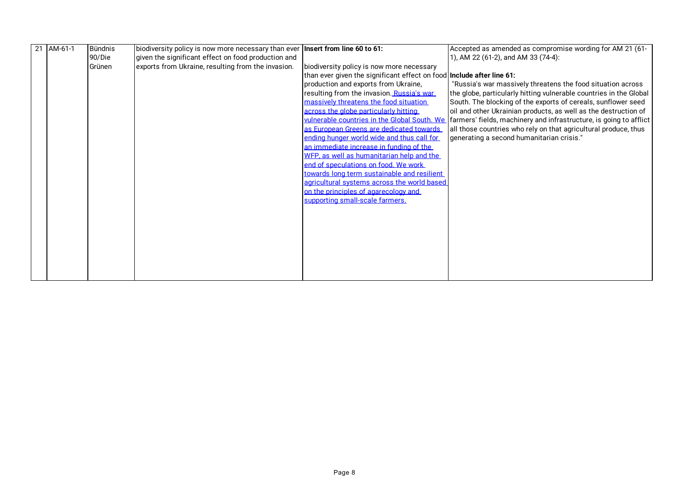| 21 AM-61-1 | Bündnis | biodiversity policy is now more necessary than ever Insert from line 60 to 61: |                                                                       | Accepted as amended as compromise wording for AM 21 (61-           |
|------------|---------|--------------------------------------------------------------------------------|-----------------------------------------------------------------------|--------------------------------------------------------------------|
|            | 90/Die  | given the significant effect on food production and                            |                                                                       | 1), AM 22 (61-2), and AM 33 (74-4):                                |
|            | Grünen  | exports from Ukraine, resulting from the invasion.                             | biodiversity policy is now more necessary                             |                                                                    |
|            |         |                                                                                | than ever given the significant effect on food Include after line 61: |                                                                    |
|            |         |                                                                                | production and exports from Ukraine,                                  | "Russia's war massively threatens the food situation across        |
|            |         |                                                                                | resulting from the invasion. Russia's war                             | the globe, particularly hitting vulnerable countries in the Global |
|            |         |                                                                                | massively threatens the food situation                                | South. The blocking of the exports of cereals, sunflower seed      |
|            |         |                                                                                | across the globe particularly hitting                                 | oil and other Ukrainian products, as well as the destruction of    |
|            |         |                                                                                | vulnerable countries in the Global South. We                          | farmers' fields, machinery and infrastructure, is going to afflict |
|            |         |                                                                                | as European Greens are dedicated towards                              | all those countries who rely on that agricultural produce, thus    |
|            |         |                                                                                | ending hunger world wide and thus call for                            | generating a second humanitarian crisis."                          |
|            |         |                                                                                | an immediate increase in funding of the                               |                                                                    |
|            |         |                                                                                | WFP, as well as humanitarian help and the                             |                                                                    |
|            |         |                                                                                | end of speculations on food. We work                                  |                                                                    |
|            |         |                                                                                | towards long term sustainable and resilient                           |                                                                    |
|            |         |                                                                                | agricultural systems across the world based                           |                                                                    |
|            |         |                                                                                | on the principles of agarecology and                                  |                                                                    |
|            |         |                                                                                | supporting small-scale farmers.                                       |                                                                    |
|            |         |                                                                                |                                                                       |                                                                    |
|            |         |                                                                                |                                                                       |                                                                    |
|            |         |                                                                                |                                                                       |                                                                    |
|            |         |                                                                                |                                                                       |                                                                    |
|            |         |                                                                                |                                                                       |                                                                    |
|            |         |                                                                                |                                                                       |                                                                    |
|            |         |                                                                                |                                                                       |                                                                    |
|            |         |                                                                                |                                                                       |                                                                    |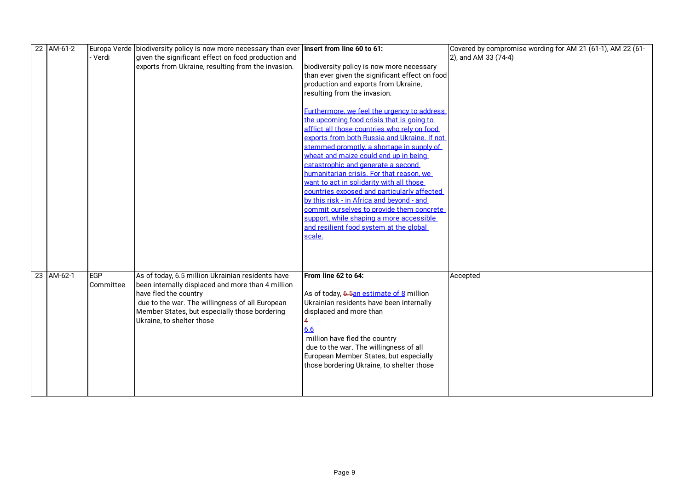| 22 AM-61-2 |           | Europa Verde biodiversity policy is now more necessary than ever   Insert from line 60 to 61: |                                                | Covered by compromise wording for AM 21 (61-1), AM 22 (61- |
|------------|-----------|-----------------------------------------------------------------------------------------------|------------------------------------------------|------------------------------------------------------------|
|            | - Verdi   | given the significant effect on food production and                                           |                                                | 2), and AM 33 (74-4)                                       |
|            |           | exports from Ukraine, resulting from the invasion.                                            | biodiversity policy is now more necessary      |                                                            |
|            |           |                                                                                               | than ever given the significant effect on food |                                                            |
|            |           |                                                                                               | production and exports from Ukraine,           |                                                            |
|            |           |                                                                                               | resulting from the invasion.                   |                                                            |
|            |           |                                                                                               |                                                |                                                            |
|            |           |                                                                                               | Furthermore, we feel the urgency to address    |                                                            |
|            |           |                                                                                               | the upcoming food crisis that is going to      |                                                            |
|            |           |                                                                                               | afflict all those countries who rely on food   |                                                            |
|            |           |                                                                                               | exports from both Russia and Ukraine. If not   |                                                            |
|            |           |                                                                                               | stemmed promptly, a shortage in supply of      |                                                            |
|            |           |                                                                                               | wheat and maize could end up in being          |                                                            |
|            |           |                                                                                               | catastrophic and generate a second             |                                                            |
|            |           |                                                                                               | humanitarian crisis. For that reason, we       |                                                            |
|            |           |                                                                                               | want to act in solidarity with all those       |                                                            |
|            |           |                                                                                               | countries exposed and particularly affected    |                                                            |
|            |           |                                                                                               | by this risk - in Africa and beyond - and      |                                                            |
|            |           |                                                                                               | commit ourselves to provide them concrete      |                                                            |
|            |           |                                                                                               | support, while shaping a more accessible       |                                                            |
|            |           |                                                                                               | and resilient food system at the global        |                                                            |
|            |           |                                                                                               | scale.                                         |                                                            |
|            |           |                                                                                               |                                                |                                                            |
|            |           |                                                                                               |                                                |                                                            |
|            |           |                                                                                               |                                                |                                                            |
| 23 AM-62-1 | EGP       | As of today, 6.5 million Ukrainian residents have                                             | From line 62 to 64:                            | Accepted                                                   |
|            | Committee | been internally displaced and more than 4 million                                             |                                                |                                                            |
|            |           | have fled the country                                                                         | As of today, 6.5an estimate of 8 million       |                                                            |
|            |           | due to the war. The willingness of all European                                               | Ukrainian residents have been internally       |                                                            |
|            |           | Member States, but especially those bordering                                                 | displaced and more than                        |                                                            |
|            |           | Ukraine, to shelter those                                                                     |                                                |                                                            |
|            |           |                                                                                               | 6.6                                            |                                                            |
|            |           |                                                                                               | million have fled the country                  |                                                            |
|            |           |                                                                                               | due to the war. The willingness of all         |                                                            |
|            |           |                                                                                               | European Member States, but especially         |                                                            |
|            |           |                                                                                               | those bordering Ukraine, to shelter those      |                                                            |
|            |           |                                                                                               |                                                |                                                            |
|            |           |                                                                                               |                                                |                                                            |
|            |           |                                                                                               |                                                |                                                            |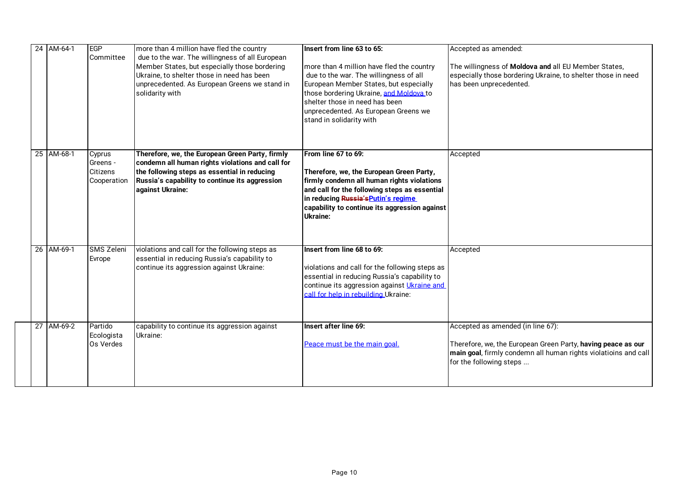|  | 24 AM-64-1 | EGP<br>Committee                                     | more than 4 million have fled the country<br>due to the war. The willingness of all European<br>Member States, but especially those bordering<br>Ukraine, to shelter those in need has been<br>unprecedented. As European Greens we stand in<br>solidarity with | Insert from line 63 to 65:<br>more than 4 million have fled the country<br>due to the war. The willingness of all<br>European Member States, but especially<br>those bordering Ukraine, and Moldova to<br>shelter those in need has been<br>unprecedented. As European Greens we<br>stand in solidarity with | Accepted as amended:<br>The willingness of Moldova and all EU Member States,<br>especially those bordering Ukraine, to shelter those in need<br>has been unprecedented.                         |
|--|------------|------------------------------------------------------|-----------------------------------------------------------------------------------------------------------------------------------------------------------------------------------------------------------------------------------------------------------------|--------------------------------------------------------------------------------------------------------------------------------------------------------------------------------------------------------------------------------------------------------------------------------------------------------------|-------------------------------------------------------------------------------------------------------------------------------------------------------------------------------------------------|
|  | 25 AM-68-1 | Cyprus<br>Greens -<br><b>Citizens</b><br>Cooperation | Therefore, we, the European Green Party, firmly<br>condemn all human rights violations and call for<br>the following steps as essential in reducing<br>Russia's capability to continue its aggression<br>against Ukraine:                                       | From line 67 to 69:<br>Therefore, we, the European Green Party,<br>firmly condemn all human rights violations<br>and call for the following steps as essential<br>in reducing Russia's Putin's regime<br>capability to continue its aggression against<br><b>Ukraine:</b>                                    | Accepted                                                                                                                                                                                        |
|  | 26 AM-69-1 | <b>SMS Zeleni</b><br>Evrope                          | violations and call for the following steps as<br>essential in reducing Russia's capability to<br>continue its aggression against Ukraine:                                                                                                                      | Insert from line 68 to 69:<br>violations and call for the following steps as<br>essential in reducing Russia's capability to<br>continue its aggression against Ukraine and<br>call for help in rebuilding Ukraine:                                                                                          | Accepted                                                                                                                                                                                        |
|  | 27 AM-69-2 | Partido<br>Ecologista<br>Os Verdes                   | capability to continue its aggression against<br>Ukraine:                                                                                                                                                                                                       | Insert after line 69:<br>Peace must be the main goal.                                                                                                                                                                                                                                                        | Accepted as amended (in line 67):<br>Therefore, we, the European Green Party, having peace as our<br>main goal, firmly condemn all human rights violatioins and call<br>for the following steps |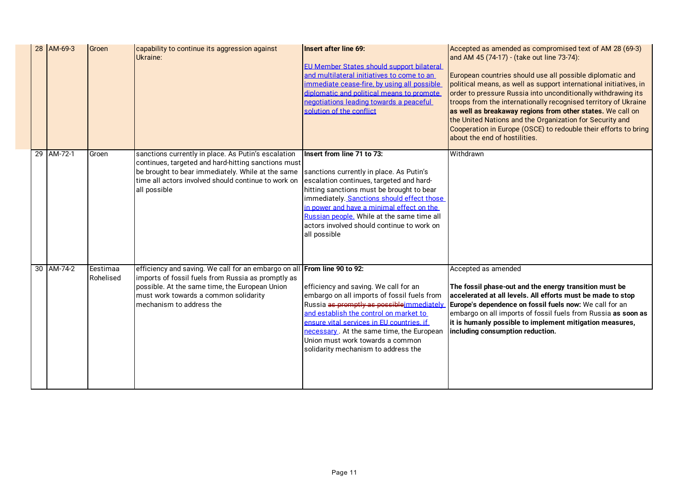|  | 28 AM-69-3 | Groen                 | capability to continue its aggression against<br>Ukraine:                                                                                                                                                                                             | Insert after line 69:<br><b>EU Member States should support bilateral</b><br>and multilateral initiatives to come to an<br>immediate cease-fire, by using all possible<br>diplomatic and political means to promote<br>negotiations leading towards a peaceful<br>solution of the conflict                                                                             | Accepted as amended as compromised text of AM 28 (69-3)<br>and AM 45 (74-17) - (take out line 73-74):<br>European countries should use all possible diplomatic and<br>political means, as well as support international initiatives, in<br>order to pressure Russia into unconditionally withdrawing its<br>troops from the internationally recognised territory of Ukraine<br>as well as breakaway regions from other states. We call on<br>the United Nations and the Organization for Security and<br>Cooperation in Europe (OSCE) to redouble their efforts to bring<br>about the end of hostilities. |
|--|------------|-----------------------|-------------------------------------------------------------------------------------------------------------------------------------------------------------------------------------------------------------------------------------------------------|------------------------------------------------------------------------------------------------------------------------------------------------------------------------------------------------------------------------------------------------------------------------------------------------------------------------------------------------------------------------|-----------------------------------------------------------------------------------------------------------------------------------------------------------------------------------------------------------------------------------------------------------------------------------------------------------------------------------------------------------------------------------------------------------------------------------------------------------------------------------------------------------------------------------------------------------------------------------------------------------|
|  | 29 AM-72-1 | Groen                 | sanctions currently in place. As Putin's escalation<br>continues, targeted and hard-hitting sanctions must<br>be brought to bear immediately. While at the same<br>time all actors involved should continue to work on<br>all possible                | Insert from line 71 to 73:<br>sanctions currently in place. As Putin's<br>escalation continues, targeted and hard-<br>hitting sanctions must be brought to bear<br>immediately. Sanctions should effect those<br>in power and have a minimal effect on the<br>Russian people. While at the same time all<br>actors involved should continue to work on<br>all possible | Withdrawn                                                                                                                                                                                                                                                                                                                                                                                                                                                                                                                                                                                                 |
|  | 30 AM-74-2 | Eestimaa<br>Rohelised | efficiency and saving. We call for an embargo on all From line 90 to 92:<br>imports of fossil fuels from Russia as promptly as<br>possible. At the same time, the European Union<br>must work towards a common solidarity<br>mechanism to address the | efficiency and saving. We call for an<br>embargo on all imports of fossil fuels from<br>Russia as promptly as possible immediately<br>and establish the control on market to<br>ensure vital services in EU countries, if<br>necessary. At the same time, the European<br>Union must work towards a common<br>solidarity mechanism to address the                      | Accepted as amended<br>The fossil phase-out and the energy transition must be<br>accelerated at all levels. All efforts must be made to stop<br>Europe's dependence on fossil fuels now: We call for an<br>embargo on all imports of fossil fuels from Russia as soon as<br>it is humanly possible to implement mitigation measures,<br>including consumption reduction.                                                                                                                                                                                                                                  |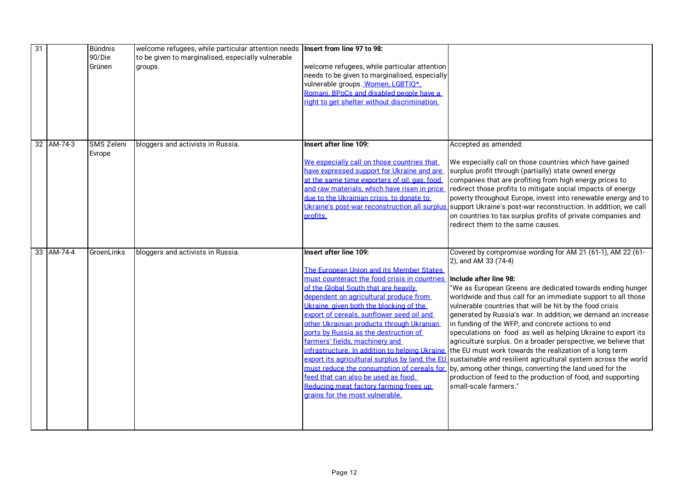| $\overline{31}$ |            | <b>Bündnis</b>    | welcome refugees, while particular attention needs   Insert from line 97 to 98: |                                                                               |                                                                 |
|-----------------|------------|-------------------|---------------------------------------------------------------------------------|-------------------------------------------------------------------------------|-----------------------------------------------------------------|
|                 |            | 90/Die            | to be given to marginalised, especially vulnerable                              |                                                                               |                                                                 |
|                 |            | Grünen            | groups.                                                                         | welcome refugees, while particular attention                                  |                                                                 |
|                 |            |                   |                                                                                 | needs to be given to marginalised, especially                                 |                                                                 |
|                 |            |                   |                                                                                 | vulnerable groups. Women, LGBTIQ*,                                            |                                                                 |
|                 |            |                   |                                                                                 | Romani, BPoCs and disabled people have a                                      |                                                                 |
|                 |            |                   |                                                                                 | right to get shelter without discrimination.                                  |                                                                 |
|                 |            |                   |                                                                                 |                                                                               |                                                                 |
|                 |            |                   |                                                                                 |                                                                               |                                                                 |
|                 |            |                   |                                                                                 |                                                                               |                                                                 |
|                 | 32 AM-74-3 | <b>SMS Zeleni</b> | bloggers and activists in Russia.                                               | Insert after line 109:                                                        | Accepted as amended:                                            |
|                 |            | Evrope            |                                                                                 |                                                                               |                                                                 |
|                 |            |                   |                                                                                 | We especially call on those countries that                                    | We especially call on those countries which have gained         |
|                 |            |                   |                                                                                 | have expressed support for Ukraine and are                                    | surplus profit through (partially) state owned energy           |
|                 |            |                   |                                                                                 | at the same time exporters of oil, gas, food                                  | companies that are profiting from high energy prices to         |
|                 |            |                   |                                                                                 | and raw materials, which have risen in price                                  | redirect those profits to mitigate social impacts of energy     |
|                 |            |                   |                                                                                 | due to the Ukrainian crisis, to donate to                                     | poverty throughout Europe, invest into renewable energy and to  |
|                 |            |                   |                                                                                 | Ukraine's post-war reconstruction all surplus                                 | support Ukraine's post-war reconstruction. In addition, we call |
|                 |            |                   |                                                                                 | profits.                                                                      | on countries to tax surplus profits of private companies and    |
|                 |            |                   |                                                                                 |                                                                               | redirect them to the same causes.                               |
|                 |            |                   |                                                                                 |                                                                               |                                                                 |
|                 | 33 AM-74-4 | GroenLinks        | bloggers and activists in Russia.                                               | Insert after line 109:                                                        | Covered by compromise wording for AM 21 (61-1), AM 22 (61-      |
|                 |            |                   |                                                                                 |                                                                               | 2), and AM 33 (74-4)                                            |
|                 |            |                   |                                                                                 | The European Union and its Member States                                      |                                                                 |
|                 |            |                   |                                                                                 | must counteract the food crisis in countries                                  | Include after line 98:                                          |
|                 |            |                   |                                                                                 | of the Global South that are heavily                                          | 'We as European Greens are dedicated towards ending hunger      |
|                 |            |                   |                                                                                 | dependent on agricultural produce from                                        | worldwide and thus call for an immediate support to all those   |
|                 |            |                   |                                                                                 | Ukraine, given both the blocking of the                                       | vulnerable countries that will be hit by the food crisis        |
|                 |            |                   |                                                                                 | export of cereals, sunflower seed oil and                                     | generated by Russia's war. In addition, we demand an increase   |
|                 |            |                   |                                                                                 | other Ukrainian products through Ukranian                                     | in funding of the WFP, and concrete actions to end              |
|                 |            |                   |                                                                                 | ports by Russia as the destruction of                                         | speculations on food as well as helping Ukraine to export its   |
|                 |            |                   |                                                                                 | farmers' fields, machinery and                                                | agriculture surplus. On a broader perspective, we believe that  |
|                 |            |                   |                                                                                 | infrastructure. In addition to helping Ukraine                                | the EU must work towards the realization of a long term         |
|                 |            |                   |                                                                                 | export its agricultural surplus by land, the EU                               | sustainable and resilient agricultural system across the world  |
|                 |            |                   |                                                                                 | must reduce the consumption of cereals for                                    | by, among other things, converting the land used for the        |
|                 |            |                   |                                                                                 | feed that can also be used as food.<br>Reducing meat factory farming frees up | production of feed to the production of food, and supporting    |
|                 |            |                   |                                                                                 | grains for the most vulnerable.                                               | small-scale farmers."                                           |
|                 |            |                   |                                                                                 |                                                                               |                                                                 |
|                 |            |                   |                                                                                 |                                                                               |                                                                 |
|                 |            |                   |                                                                                 |                                                                               |                                                                 |
|                 |            |                   |                                                                                 |                                                                               |                                                                 |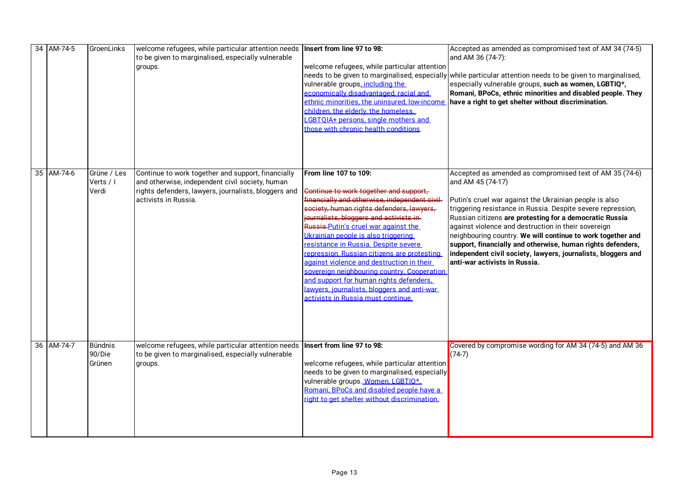|  | 34 AM-74-5 | GroenLinks                         | welcome refugees, while particular attention needs   Insert from line 97 to 98:<br>to be given to marginalised, especially vulnerable<br>groups.                                      | welcome refugees, while particular attention<br>needs to be given to marginalised, especially<br>vulnerable groups, including the<br>economically disadvantaged, racial and<br>ethnic minorities, the uninsured, low-income<br>children, the elderly, the homeless.<br>LGBTOIA+ persons, single mothers and<br>those with chronic health conditions                                                                                                                                                                                                                                                         | Accepted as amended as compromised text of AM 34 (74-5)<br>and AM 36 (74-7):<br>while particular attention needs to be given to marginalised,<br>especially vulnerable groups, such as women, LGBTIQ*,<br>Romani, BPoCs, ethnic minorities and disabled people. They<br>have a right to get shelter without discrimination.                                                                                                                                                                                                                             |
|--|------------|------------------------------------|---------------------------------------------------------------------------------------------------------------------------------------------------------------------------------------|-------------------------------------------------------------------------------------------------------------------------------------------------------------------------------------------------------------------------------------------------------------------------------------------------------------------------------------------------------------------------------------------------------------------------------------------------------------------------------------------------------------------------------------------------------------------------------------------------------------|---------------------------------------------------------------------------------------------------------------------------------------------------------------------------------------------------------------------------------------------------------------------------------------------------------------------------------------------------------------------------------------------------------------------------------------------------------------------------------------------------------------------------------------------------------|
|  | 35 AM-74-6 | Grüne / Les<br>Verts / I<br>Verdi  | Continue to work together and support, financially<br>and otherwise, independent civil society, human<br>rights defenders, lawyers, journalists, bloggers and<br>activists in Russia. | From line 107 to 109:<br>Continue to work together and support.<br>financially and otherwise, independent civil-<br>society, human rights defenders, lawyers,<br>journalists, bloggers and activists in-<br>Russia. Putin's cruel war against the<br>Ukrainian people is also triggering<br>resistance in Russia. Despite severe<br>repression. Russian citizens are protesting<br>against violence and destruction in their<br>sovereign neighbouring country. Cooperation<br>and support for human rights defenders.<br>lawyers, journalists, bloggers and anti-war<br>activists in Russia must continue. | Accepted as amended as compromised text of AM 35 (74-6)<br>and AM 45 (74-17)<br>Putin's cruel war against the Ukrainian people is also<br>triggering resistance in Russia. Despite severe repression,<br>Russian citizens are protesting for a democratic Russia<br>against violence and destruction in their sovereign<br>neighbouring country. We will continue to work together and<br>support, financially and otherwise, human rights defenders,<br>independent civil society, lawyers, journalists, bloggers and<br>anti-war activists in Russia. |
|  | 36 AM-74-7 | <b>Bündnis</b><br>90/Die<br>Grünen | welcome refugees, while particular attention needs<br>to be given to marginalised, especially vulnerable<br>groups.                                                                   | Insert from line 97 to 98:<br>welcome refugees, while particular attention<br>needs to be given to marginalised, especially<br>vulnerable groups. Women. LGBTIO*.<br>Romani. BPoCs and disabled people have a<br>right to get shelter without discrimination.                                                                                                                                                                                                                                                                                                                                               | Covered by compromise wording for AM 34 (74-5) and AM 36<br>$(74-7)$                                                                                                                                                                                                                                                                                                                                                                                                                                                                                    |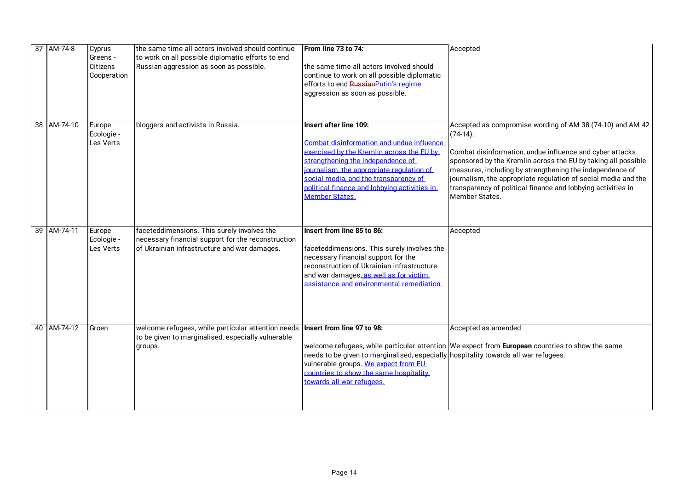| 37 AM-74-8  | Cyprus<br>Greens -<br>Citizens<br>Cooperation | the same time all actors involved should continue<br>to work on all possible diplomatic efforts to end<br>Russian aggression as soon as possible. | From line 73 to 74:<br>the same time all actors involved should<br>continue to work on all possible diplomatic<br>efforts to end Russian Putin's regime<br>aggression as soon as possible.                                                                                                                           | Accepted                                                                                                                                                                                                                                                                                                                                                                                                              |
|-------------|-----------------------------------------------|---------------------------------------------------------------------------------------------------------------------------------------------------|----------------------------------------------------------------------------------------------------------------------------------------------------------------------------------------------------------------------------------------------------------------------------------------------------------------------|-----------------------------------------------------------------------------------------------------------------------------------------------------------------------------------------------------------------------------------------------------------------------------------------------------------------------------------------------------------------------------------------------------------------------|
| 38 AM-74-10 | Europe<br>Ecologie -<br>Les Verts             | bloggers and activists in Russia.                                                                                                                 | Insert after line 109:<br>Combat disinformation and undue influence<br>exercised by the Kremlin across the EU by<br>strengthening the independence of<br>journalism, the appropriate regulation of<br>social media, and the transparency of<br>political finance and lobbying activities in<br><b>Member States.</b> | Accepted as compromise wording of AM 38 (74-10) and AM 42<br>$(74-14)$ :<br>Combat disinformation, undue influence and cyber attacks<br>sponsored by the Kremlin across the EU by taking all possible<br>measures, including by strengthening the independence of<br>journalism, the appropriate regulation of social media and the<br>transparency of political finance and lobbying activities in<br>Member States. |
| 39 AM-74-11 | Europe<br>Ecologie -<br>Les Verts             | faceteddimensions. This surely involves the<br>necessary financial support for the reconstruction<br>of Ukrainian infrastructure and war damages. | Insert from line 85 to 86:<br>faceteddimensions. This surely involves the<br>necessary financial support for the<br>reconstruction of Ukrainian infrastructure<br>and war damages, as well as for victim<br>assistance and environmental remediation.                                                                | Accepted                                                                                                                                                                                                                                                                                                                                                                                                              |
| 40 AM-74-12 | Groen                                         | welcome refugees, while particular attention needs<br>to be given to marginalised, especially vulnerable<br>groups.                               | Insert from line 97 to 98:<br>needs to be given to marginalised, especially hospitality towards all war refugees.<br>vulnerable groups. We expect from EU-<br>countries to show the same hospitality<br>towards all war refugees.                                                                                    | Accepted as amended<br>welcome refugees, while particular attention We expect from European countries to show the same                                                                                                                                                                                                                                                                                                |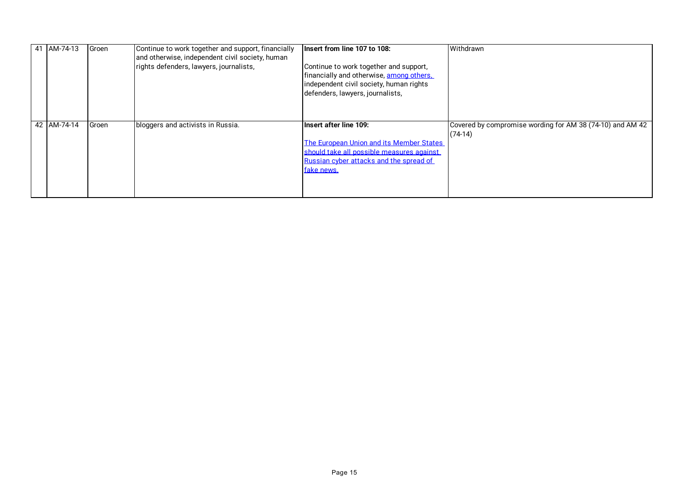| AM-74-13    | Groen | Continue to work together and support, financially<br>and otherwise, independent civil society, human<br>rights defenders, lawyers, journalists, | Insert from line 107 to 108:<br>Continue to work together and support,<br>financially and otherwise, among others.<br>independent civil society, human rights<br>defenders, lawyers, journalists, | Withdrawn                                                              |
|-------------|-------|--------------------------------------------------------------------------------------------------------------------------------------------------|---------------------------------------------------------------------------------------------------------------------------------------------------------------------------------------------------|------------------------------------------------------------------------|
| 42 AM-74-14 | Groen | bloggers and activists in Russia.                                                                                                                | Insert after line 109:<br>The European Union and its Member States<br>should take all possible measures against<br>Russian cyber attacks and the spread of<br>fake news.                          | Covered by compromise wording for AM 38 (74-10) and AM 42<br>$(74-14)$ |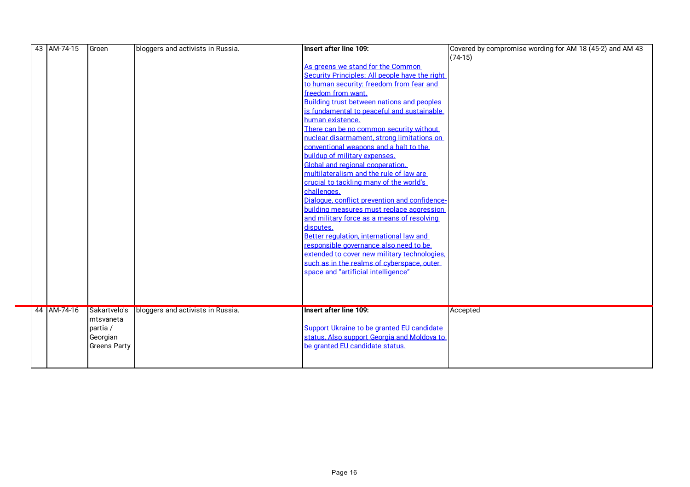| 43 AM-74-15 | Groen               | bloggers and activists in Russia. | Insert after line 109:                         | Covered by compromise wording for AM 18 (45-2) and AM 43 |
|-------------|---------------------|-----------------------------------|------------------------------------------------|----------------------------------------------------------|
|             |                     |                                   |                                                | $(74-15)$                                                |
|             |                     |                                   | As greens we stand for the Common              |                                                          |
|             |                     |                                   | Security Principles: All people have the right |                                                          |
|             |                     |                                   | to human security: freedom from fear and       |                                                          |
|             |                     |                                   | freedom from want.                             |                                                          |
|             |                     |                                   | Building trust between nations and peoples     |                                                          |
|             |                     |                                   | is fundamental to peaceful and sustainable     |                                                          |
|             |                     |                                   | human existence.                               |                                                          |
|             |                     |                                   | There can be no common security without        |                                                          |
|             |                     |                                   | nuclear disarmament, strong limitations on     |                                                          |
|             |                     |                                   | conventional weapons and a halt to the         |                                                          |
|             |                     |                                   | buildup of military expenses.                  |                                                          |
|             |                     |                                   | Global and regional cooperation.               |                                                          |
|             |                     |                                   | multilateralism and the rule of law are        |                                                          |
|             |                     |                                   | crucial to tackling many of the world's        |                                                          |
|             |                     |                                   | challenges.                                    |                                                          |
|             |                     |                                   | Dialogue, conflict prevention and confidence-  |                                                          |
|             |                     |                                   | building measures must replace aggression      |                                                          |
|             |                     |                                   | and military force as a means of resolving     |                                                          |
|             |                     |                                   | disputes.                                      |                                                          |
|             |                     |                                   | Better regulation, international law and       |                                                          |
|             |                     |                                   | responsible governance also need to be         |                                                          |
|             |                     |                                   | extended to cover new military technologies.   |                                                          |
|             |                     |                                   | such as in the realms of cyberspace, outer     |                                                          |
|             |                     |                                   | space and "artificial intelligence"            |                                                          |
|             |                     |                                   |                                                |                                                          |
|             |                     |                                   |                                                |                                                          |
|             |                     |                                   |                                                |                                                          |
| 44 AM-74-16 | Sakartvelo's        | bloggers and activists in Russia. | <b>Insert after line 109:</b>                  | Accepted                                                 |
|             | mtsvaneta           |                                   |                                                |                                                          |
|             | partia /            |                                   | Support Ukraine to be granted EU candidate     |                                                          |
|             | Georgian            |                                   | status. Also support Georgia and Moldova to    |                                                          |
|             | <b>Greens Party</b> |                                   | be granted EU candidate status.                |                                                          |
|             |                     |                                   |                                                |                                                          |
|             |                     |                                   |                                                |                                                          |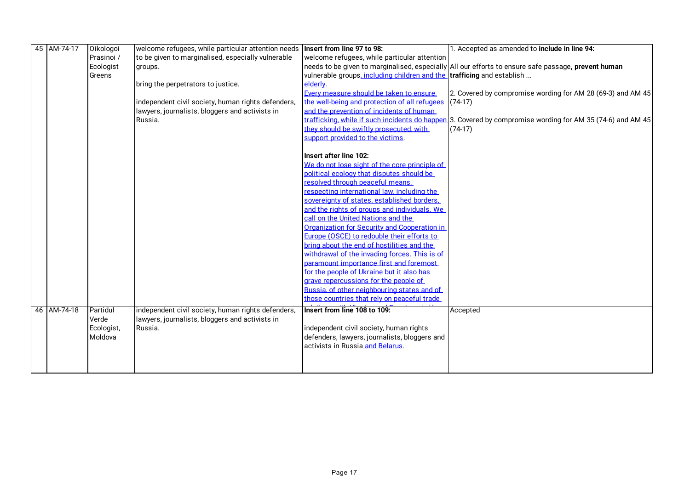| 45 AM-74-17 | Oikologoi             | welcome refugees, while particular attention needs | Insert from line 97 to 98:                                                                 | 1. Accepted as amended to include in line 94:                                                                |
|-------------|-----------------------|----------------------------------------------------|--------------------------------------------------------------------------------------------|--------------------------------------------------------------------------------------------------------------|
|             | Prasinoi /            | to be given to marginalised, especially vulnerable | welcome refugees, while particular attention                                               |                                                                                                              |
|             | Ecologist             | groups.                                            |                                                                                            | needs to be given to marginalised, especially All our efforts to ensure safe passage, prevent human          |
|             | Greens                |                                                    | vulnerable groups, including children and the trafficing and establish                     |                                                                                                              |
|             |                       | bring the perpetrators to justice.                 | elderly.                                                                                   |                                                                                                              |
|             |                       |                                                    | Every measure should be taken to ensure                                                    | 2. Covered by compromise wording for AM 28 (69-3) and AM 45                                                  |
|             |                       | independent civil society, human rights defenders, | the well-being and protection of all refugees                                              | $(74-17)$                                                                                                    |
|             |                       | lawyers, journalists, bloggers and activists in    | and the prevention of incidents of human                                                   |                                                                                                              |
|             |                       | Russia.                                            |                                                                                            | trafficking, while if such incidents do happen. 3. Covered by compromise wording for AM 35 (74-6) and AM 45. |
|             |                       |                                                    | they should be swiftly prosecuted, with                                                    | $(74-17)$                                                                                                    |
|             |                       |                                                    | support provided to the victims.                                                           |                                                                                                              |
|             |                       |                                                    |                                                                                            |                                                                                                              |
|             |                       |                                                    | Insert after line 102:                                                                     |                                                                                                              |
|             |                       |                                                    | We do not lose sight of the core principle of                                              |                                                                                                              |
|             |                       |                                                    | political ecology that disputes should be                                                  |                                                                                                              |
|             |                       |                                                    | resolved through peaceful means.                                                           |                                                                                                              |
|             |                       |                                                    | respecting international law, including the                                                |                                                                                                              |
|             |                       |                                                    | sovereignty of states, established borders.                                                |                                                                                                              |
|             |                       |                                                    | and the rights of groups and individuals. We                                               |                                                                                                              |
|             |                       |                                                    | call on the United Nations and the                                                         |                                                                                                              |
|             |                       |                                                    | Organization for Security and Cooperation in<br>Europe (OSCE) to redouble their efforts to |                                                                                                              |
|             |                       |                                                    | bring about the end of hostilities and the                                                 |                                                                                                              |
|             |                       |                                                    | withdrawal of the invading forces. This is of                                              |                                                                                                              |
|             |                       |                                                    | paramount importance first and foremost                                                    |                                                                                                              |
|             |                       |                                                    | for the people of Ukraine but it also has                                                  |                                                                                                              |
|             |                       |                                                    | grave repercussions for the people of                                                      |                                                                                                              |
|             |                       |                                                    | Russia, of other neighbouring states and of                                                |                                                                                                              |
|             |                       |                                                    | those countries that rely on peaceful trade                                                |                                                                                                              |
|             |                       |                                                    |                                                                                            |                                                                                                              |
| 46 AM-74-18 | Partidul              | independent civil society, human rights defenders, | Insert from line 108 to 109:                                                               | Accepted                                                                                                     |
|             | Verde                 | lawyers, journalists, bloggers and activists in    |                                                                                            |                                                                                                              |
|             | Ecologist,<br>Moldova | Russia.                                            | independent civil society, human rights<br>defenders, lawyers, journalists, bloggers and   |                                                                                                              |
|             |                       |                                                    | activists in Russia and Belarus.                                                           |                                                                                                              |
|             |                       |                                                    |                                                                                            |                                                                                                              |
|             |                       |                                                    |                                                                                            |                                                                                                              |
|             |                       |                                                    |                                                                                            |                                                                                                              |